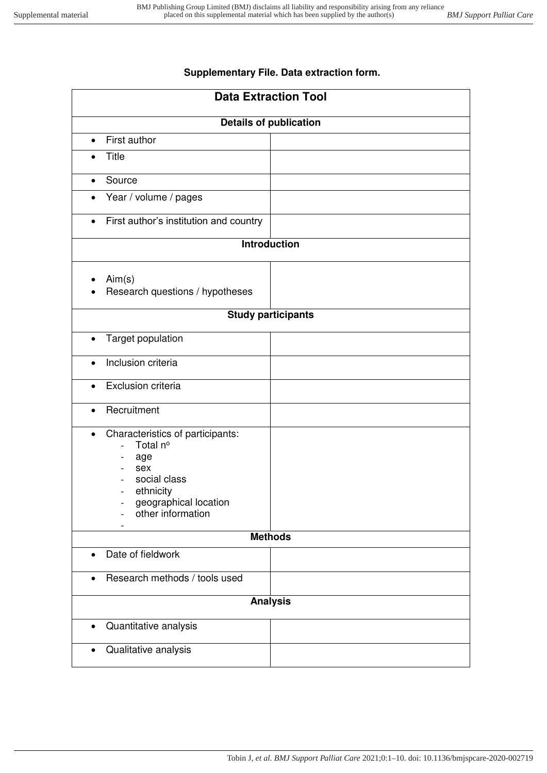## **Supplementary File. Data extraction form.**

| <b>Data Extraction Tool</b>                                                                                                                                             |  |
|-------------------------------------------------------------------------------------------------------------------------------------------------------------------------|--|
| <b>Details of publication</b>                                                                                                                                           |  |
| First author<br>$\bullet$                                                                                                                                               |  |
| <b>Title</b>                                                                                                                                                            |  |
| Source<br>$\bullet$                                                                                                                                                     |  |
| Year / volume / pages<br>$\bullet$                                                                                                                                      |  |
| First author's institution and country<br>$\bullet$                                                                                                                     |  |
| <b>Introduction</b>                                                                                                                                                     |  |
| Aim(s)<br>Research questions / hypotheses                                                                                                                               |  |
| <b>Study participants</b>                                                                                                                                               |  |
| Target population<br>$\bullet$                                                                                                                                          |  |
| Inclusion criteria<br>$\bullet$                                                                                                                                         |  |
| Exclusion criteria<br>$\bullet$                                                                                                                                         |  |
| Recruitment<br>$\bullet$                                                                                                                                                |  |
| Characteristics of participants:<br>$\bullet$<br>Total nº<br>age<br>sex<br>social class<br>ethnicity<br>$\qquad \qquad -$<br>geographical location<br>other information |  |
| <b>Methods</b>                                                                                                                                                          |  |
| Date of fieldwork<br>$\bullet$                                                                                                                                          |  |
| Research methods / tools used<br>$\bullet$                                                                                                                              |  |
| <b>Analysis</b>                                                                                                                                                         |  |
| Quantitative analysis<br>$\bullet$                                                                                                                                      |  |
| Qualitative analysis<br>$\bullet$                                                                                                                                       |  |